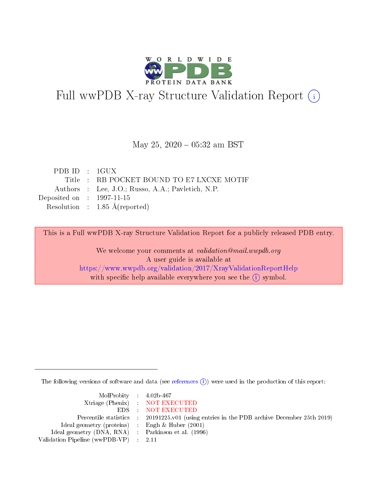

# Full wwPDB X-ray Structure Validation Report (i)

#### May 25,  $2020 - 05:32$  am BST

| PDB ID : $1\text{GUX}$      |                                                   |
|-----------------------------|---------------------------------------------------|
|                             | Title : RB POCKET BOUND TO E7 LXCXE MOTIF         |
|                             | Authors : Lee, J.O.; Russo, A.A.; Pavletich, N.P. |
| Deposited on : $1997-11-15$ |                                                   |
|                             | Resolution : $1.85 \text{ Å}$ (reported)          |

This is a Full wwPDB X-ray Structure Validation Report for a publicly released PDB entry.

We welcome your comments at validation@mail.wwpdb.org A user guide is available at <https://www.wwpdb.org/validation/2017/XrayValidationReportHelp> with specific help available everywhere you see the  $(i)$  symbol.

The following versions of software and data (see [references](https://www.wwpdb.org/validation/2017/XrayValidationReportHelp#references)  $\overline{(1)}$ ) were used in the production of this report:

| $MolProbability$ 4.02b-467                          |                                                                                            |
|-----------------------------------------------------|--------------------------------------------------------------------------------------------|
|                                                     | Xtriage (Phenix) NOT EXECUTED                                                              |
|                                                     | EDS NOT EXECUTED                                                                           |
|                                                     | Percentile statistics : 20191225.v01 (using entries in the PDB archive December 25th 2019) |
| Ideal geometry (proteins) :                         | Engh & Huber $(2001)$                                                                      |
| Ideal geometry (DNA, RNA) : Parkinson et al. (1996) |                                                                                            |
| Validation Pipeline (wwPDB-VP) : 2.11               |                                                                                            |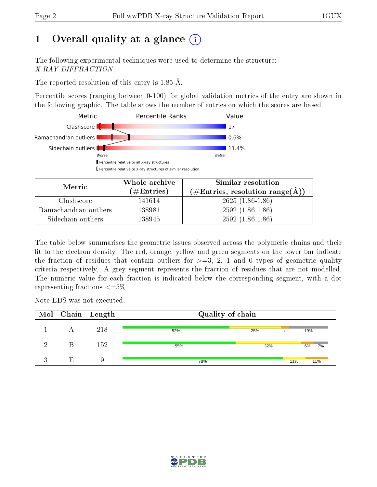## 1 [O](https://www.wwpdb.org/validation/2017/XrayValidationReportHelp#overall_quality)verall quality at a glance  $(i)$

The following experimental techniques were used to determine the structure: X-RAY DIFFRACTION

The reported resolution of this entry is 1.85 Å.

Percentile scores (ranging between 0-100) for global validation metrics of the entry are shown in the following graphic. The table shows the number of entries on which the scores are based.



| Metric                | Whole archive       | Similar resolution                                 |
|-----------------------|---------------------|----------------------------------------------------|
|                       | (# $\rm{Entries}$ ) | $(\text{\#Entries, resolution range}(\text{\AA}))$ |
| Clashscore            | 141614              | $2625(1.86-1.86)$                                  |
| Ramachandran outliers | 138981              | $2592(1.86-1.86)$                                  |
| Sidechain outliers    | 138945              | $2592(1.86-1.86)$                                  |

The table below summarises the geometric issues observed across the polymeric chains and their fit to the electron density. The red, orange, yellow and green segments on the lower bar indicate the fraction of residues that contain outliers for  $\geq=3$ , 2, 1 and 0 types of geometric quality criteria respectively. A grey segment represents the fraction of residues that are not modelled. The numeric value for each fraction is indicated below the corresponding segment, with a dot representing fractions  $\epsilon = 5\%$ 

Note EDS was not executed.

|          |   | $\boxed{\text{Mol}}$ Chain   Length | Quality of chain |     |     |          |
|----------|---|-------------------------------------|------------------|-----|-----|----------|
|          |   | 218                                 | 52%              | 25% |     | 19%      |
| റ        | В | 152                                 | 55%              | 32% |     | 6%<br>7% |
| $\Omega$ | E | Q                                   | 78%              |     | 11% | 11%      |

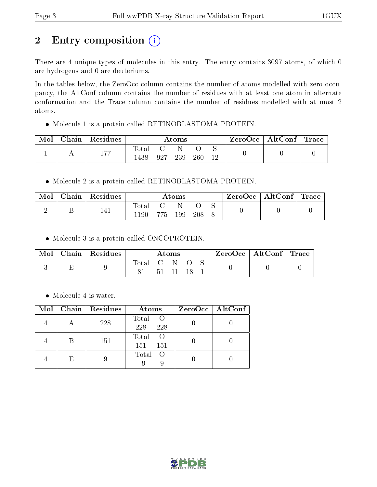## 2 Entry composition (i)

There are 4 unique types of molecules in this entry. The entry contains 3097 atoms, of which 0 are hydrogens and 0 are deuteriums.

In the tables below, the ZeroOcc column contains the number of atoms modelled with zero occupancy, the AltConf column contains the number of residues with at least one atom in alternate conformation and the Trace column contains the number of residues modelled with at most 2 atoms.

Molecule 1 is a protein called RETINOBLASTOMA PROTEIN.

| Mol | Chain | Residues | Atoms                    |     |     |     |  | $\text{ZeroOcc} \mid \text{AltConf} \mid \text{Trace}$ |  |
|-----|-------|----------|--------------------------|-----|-----|-----|--|--------------------------------------------------------|--|
|     |       | $+77$    | $\mathrm{Total}$<br>1438 | 927 | 239 | 260 |  |                                                        |  |

• Molecule 2 is a protein called RETINOBLASTOMA PROTEIN.

| Mol | ${\rm Chain}$ | Residues |                      |     | Atoms |     |  | ZeroOcc   AltConf   Trace |  |
|-----|---------------|----------|----------------------|-----|-------|-----|--|---------------------------|--|
|     |               | 141      | <b>Total</b><br>1190 | 775 | 199   | 208 |  |                           |  |

• Molecule 3 is a protein called ONCOPROTEIN.

| Mol | $\vert$ Chain $\vert$ Residues | $\rm{Atoms}$ |    |  | $ZeroOcc \mid AltConf \mid Trace \mid$ |  |  |  |
|-----|--------------------------------|--------------|----|--|----------------------------------------|--|--|--|
|     |                                | Total        | 51 |  |                                        |  |  |  |

• Molecule 4 is water.

| Mol |    | Chain   Residues | Atoms                        | $ZeroOcc \mid AltConf \mid$ |
|-----|----|------------------|------------------------------|-----------------------------|
|     |    | 228              | Total O<br>228<br>228        |                             |
|     | В  | 151              | Total<br>- ( )<br>151<br>151 |                             |
|     | E, |                  | Total<br>- ()                |                             |

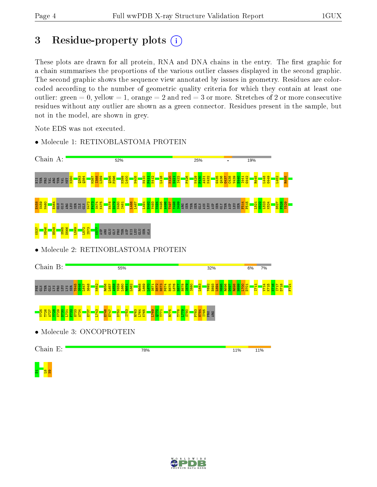## 3 Residue-property plots  $(i)$

These plots are drawn for all protein, RNA and DNA chains in the entry. The first graphic for a chain summarises the proportions of the various outlier classes displayed in the second graphic. The second graphic shows the sequence view annotated by issues in geometry. Residues are colorcoded according to the number of geometric quality criteria for which they contain at least one outlier: green  $= 0$ , yellow  $= 1$ , orange  $= 2$  and red  $= 3$  or more. Stretches of 2 or more consecutive residues without any outlier are shown as a green connector. Residues present in the sample, but not in the model, are shown in grey.

Note EDS was not executed.



• Molecule 1: RETINOBLASTOMA PROTEIN

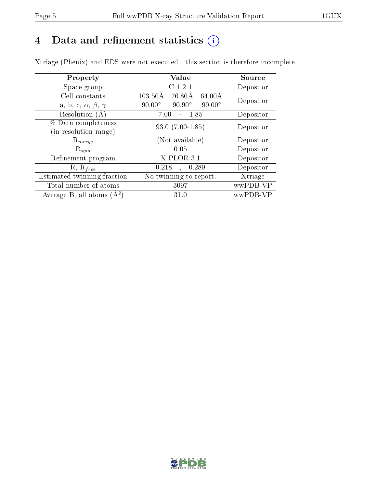## 4 Data and refinement statistics  $(i)$

Xtriage (Phenix) and EDS were not executed - this section is therefore incomplete.

| Property                               | Value                                           | Source    |  |
|----------------------------------------|-------------------------------------------------|-----------|--|
| Space group                            | C 1 2 1                                         | Depositor |  |
| Cell constants                         | 76.80Å 64.00Å<br>$103.50\text{\AA}$             | Depositor |  |
| a, b, c, $\alpha$ , $\beta$ , $\gamma$ | $90.90^\circ$<br>$90.00^\circ$<br>$90.00^\circ$ |           |  |
| Resolution (A)                         | $-1.85$<br>7.00                                 | Depositor |  |
| % Data completeness                    | $93.0(7.00-1.85)$                               | Depositor |  |
| (in resolution range)                  |                                                 |           |  |
| $R_{merge}$                            | (Not available)                                 | Depositor |  |
| $\mathrm{R}_{sym}$                     | 0.05                                            | Depositor |  |
| Refinement program                     | $X-PLOR3.1$                                     | Depositor |  |
| $R, R_{free}$                          | 0.218<br>0.289<br>$\mathbf{A}^{\text{max}}$     | Depositor |  |
| Estimated twinning fraction            | No twinning to report.                          | Xtriage   |  |
| Total number of atoms                  | 3097                                            | wwPDB-VP  |  |
| Average B, all atoms $(A^2)$           | 31.0                                            | wwPDB-VP  |  |

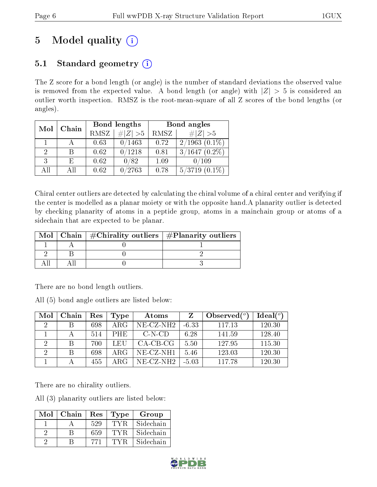## 5 Model quality  $(i)$

## 5.1 Standard geometry  $(i)$

The Z score for a bond length (or angle) is the number of standard deviations the observed value is removed from the expected value. A bond length (or angle) with  $|Z| > 5$  is considered an outlier worth inspection. RMSZ is the root-mean-square of all Z scores of the bond lengths (or angles).

| Mol | Chain |      | Bond lengths | Bond angles |                     |  |
|-----|-------|------|--------------|-------------|---------------------|--|
|     |       | RMSZ | $\# Z  > 5$  | RMSZ        | # Z  > 5            |  |
|     |       | 0.63 | 0/1463       | 0.72        | $2/1963(0.1\%)$     |  |
| 2   | R     | 0.62 | 0/1218       | 0.81        | $3/1647$ $(0.2\%)$  |  |
| 3   | F.    | 0.62 | 0/82         | 1.09        | 0/109               |  |
| AП  | AΠ    | 0.62 | /2763        | 0.78        | 5/3719<br>$0.1\%$ ) |  |

Chiral center outliers are detected by calculating the chiral volume of a chiral center and verifying if the center is modelled as a planar moiety or with the opposite hand.A planarity outlier is detected by checking planarity of atoms in a peptide group, atoms in a mainchain group or atoms of a sidechain that are expected to be planar.

|  | Mol   Chain   $\#\text{Chirality outliers}$   $\#\text{Planarity outliers}$ |  |
|--|-----------------------------------------------------------------------------|--|
|  |                                                                             |  |
|  |                                                                             |  |
|  |                                                                             |  |

There are no bond length outliers.

All (5) bond angle outliers are listed below:

| Mol | Chain | Res | Type       | Atoms        |         | Observed $(°)$ | Ideal $(°)$ |
|-----|-------|-----|------------|--------------|---------|----------------|-------------|
| 2   |       | 698 | $\rm{ARG}$ | $NE- CZ-NH2$ | $-6.33$ | 117.13         | 120.30      |
|     |       | 514 | PHE.       | $C-N-CD$     | 6.28    | 141.59         | 128.40      |
|     |       | 700 | LEU        | $CA-CB-CG$   | 5.50    | 127.95         | 115.30      |
|     | В     | 698 | ARG        | NE-CZ-NH1    | 5.46    | 123.03         | 120.30      |
|     |       | 455 | ARG        | $NE- CZ-NH2$ | $-5.03$ | 117.78         | 120.30      |

There are no chirality outliers.

All (3) planarity outliers are listed below:

| Mol | Chain | Res | <b>Type</b> | Group     |
|-----|-------|-----|-------------|-----------|
|     |       | 529 | 'TYR        | Sidechain |
|     | К     | 659 | 'TY R.      | Sidechain |
|     |       | 771 | 'TYR        | Sidechain |

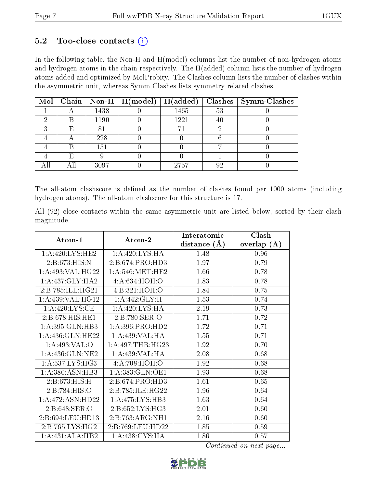### 5.2 Too-close contacts  $(i)$

In the following table, the Non-H and H(model) columns list the number of non-hydrogen atoms and hydrogen atoms in the chain respectively. The H(added) column lists the number of hydrogen atoms added and optimized by MolProbity. The Clashes column lists the number of clashes within the asymmetric unit, whereas Symm-Clashes lists symmetry related clashes.

|             |      | Mol   Chain   Non-H   H(model)   H(added) |      |    | $Class   Symm-Class$ |
|-------------|------|-------------------------------------------|------|----|----------------------|
|             | 1438 |                                           | 1465 | 53 |                      |
|             | 1190 |                                           | 1221 | 40 |                      |
| $\mathbf F$ |      |                                           |      |    |                      |
|             | 228  |                                           |      |    |                      |
|             | 151  |                                           |      |    |                      |
| F           |      |                                           |      |    |                      |
|             | 3097 |                                           | 2757 | 92 |                      |

The all-atom clashscore is defined as the number of clashes found per 1000 atoms (including hydrogen atoms). The all-atom clashscore for this structure is 17.

All (92) close contacts within the same asymmetric unit are listed below, sorted by their clash magnitude.

|                     | Atom-2              | Interatomic    | Clash              |
|---------------------|---------------------|----------------|--------------------|
| Atom-1              |                     | distance $(A)$ | $(\AA)$<br>overlap |
| 1: A:420: LYS: HE2  | 1: A:420: LYS: HA   | 1.48           | 0.96               |
| 2:B:673:HIS:N       | 2:B:674:PRO:HD3     | 1.97           | 0.79               |
| 1: A:493: VAL:HG22  | 1: A:546:MET:HE2    | 1.66           | 0.78               |
| 1:A:437:GLY:HA2     | 4:A:634:HOH:O       | 1.83           | 0.78               |
| 2:B:785:ILE:HG21    | 4:B:321:HOH:O       | 1.84           | 0.75               |
| 1:A:439:VAL:HG12    | 1:A:442:GLY:H       | 1.53           | 0.74               |
| 1: A:420: LYS: CE   | 1:A:420:LYS:HA      | 2.19           | 0.73               |
| 2: B:678: HIS: HE1  | 2: B:780: SER:O     | 1.71           | 0.72               |
| 1:A:395:GLN:HB3     | 1: A:396: PRO:HD2   | 1.72           | 0.71               |
| 1:A:436: GLN: HE22  | 1:A:439:VAL:HA      | 1.55           | 0.71               |
| 1:A:493:VAL:O       | 1: A:497:THR:HG23   | 1.92           | 0.70               |
| 1: A: 436: GLN: NE2 | 1:A:439:VAL:HA      | 2.08           | 0.68               |
| 1: A: 537: LYS: HG3 | 4:A:708:HOH:O       | 1.92           | 0.68               |
| 1:A:380:ASN:HB3     | 1: A: 383: GLN: OE1 | 1.93           | 0.68               |
| 2:B:673:HIS:H       | 2:B:674:PRO:HD3     | 1.61           | 0.65               |
| 2:B:784:HIS:O       | 2:B:785:ILE:HG22    | 1.96           | 0.64               |
| 1:A:472:ASN:HD22    | 1:A:475:LYS:HB3     | 1.63           | 0.64               |
| 2:B:648:SER:O       | 2:B:652:LYS:HG3     | 2.01           | 0.60               |
| 2:B:694:LEU:HD13    | 2:B:763:ARG:NH1     | 2.16           | 0.60               |
| 2: B: 765: LYS: HG2 | 2:B:769:LEU:HD22    | 1.85           | 0.59               |
| 1:A:431:ALA:HB2     | 1: A:438: CYS:HA    | 1.86           | 0.57               |

Continued on next page...

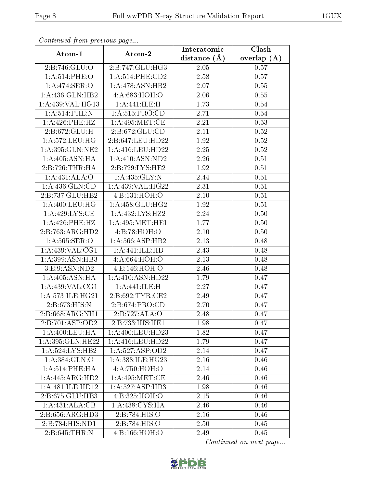| Commuca from previous page    |                           | Interatomic      | Clash             |
|-------------------------------|---------------------------|------------------|-------------------|
| Atom-1                        | Atom-2                    | distance $(\AA)$ | overlap $(A)$     |
| 2:B:746:GLU:O                 | 2:B:747:GLU:HG3           | 2.05             | 0.57              |
| 1:A:514:PHE:O                 | 1: A:514: PHE:CD2         | 2.58             | 0.57              |
| 1:A:474:SER:O                 | 1:A:478:ASN:HB2           | 2.07             | 0.55              |
| 1: A: 436: GLN: HB2           | 4:A:683:HOH:O             | 2.06             | 0.55              |
| 1:A:439:VAL:HG13              | 1:A:441:ILE:H             | 1.73             | 0.54              |
| 1:A:514:PHE:N                 | 1: A:515: PRO:CD          | 2.71             | 0.54              |
| $1: A:426:$ PHE:HZ            | 1: A:495:MET:CE           | 2.21             | 0.53              |
| 2:B:672:GLU:H                 | 2: B:672: GLU:CD          | 2.11             | 0.52              |
| 1:A:572:LEU:HG                | 2:B:647:LEU:HD22          | 1.92             | 0.52              |
| 1: A:395: GLN:NE2             | 1:A:416:LEU:HD22          | 2.25             | 0.52              |
| 1:A:405:ASN:HA                | 1:A:410:ASN:ND2           | 2.26             | 0.51              |
| 2:B:726:THR:HA                | 2:B:729:LYS:HE2           | 1.92             | 0.51              |
| 1:A:431:ALA:O                 | 1:A:435:GLY:N             | 2.44             | 0.51              |
| 1:A:436:GLN:CD                | 1: A:439: VAL:HG22        | 2.31             | 0.51              |
| 2:B:737:GLU:HB2               | 4:B:131:HOH:O             | 2.10             | 0.51              |
| 1: A:400:LEU:HG               | 1: A: 458: GLU: HG2       | 1.92             | 0.51              |
| 1:A:429:LYS:CE                | 1:A:432:LYS:HZ2           | 2.24             | 0.50              |
| 1:A:426:PHE:HZ                | 1: A:495: MET:HE1         | 1.77             | 0.50              |
| 2:B:763:ARG:HD2               | $4:B:78:\overline{HOH:O}$ | 2.10             | 0.50              |
| 1:A:565:SER:O                 | 1:A:566:ASP:HB2           | 2.13             | 0.48              |
| 1: A:439: VAL:CG1             | 1:A:441:ILE:HB            | 2.43             | 0.48              |
| 1:A:399:ASN:HB3               | 4:A:664:HOH:O             | 2.13             | 0.48              |
| 3:E:9:ASN:ND2                 | 4:E:146:HOH:O             | 2.46             | 0.48              |
| 1: A:405: ASN: HA             | 1:A:410:ASN:HD22          | 1.79             | 0.47              |
| 1: A:439: VAL: CG1            | 1:A:441:ILE:H             | 2.27             | 0.47              |
| 1:A:573:ILE:HG21              | 2:B:692:TYR:CE2           | 2.49             | 0.47              |
| 2:B:673:HIS:N                 | 2:B:674:PRO:CD            | 2.70             | 0.47              |
| 2:B:668:ARG:NH1               | 2:B:727:ALA:O             | 2.48             | 0.47              |
| 2:B:701:ASP:OD2               | 2:B:733:HIS:HE1           | 1.98             | 0.47              |
| 1: A:400:LEU:HA               | 1: A:400:LEU:HD23         | 1.82             | 0.47              |
| 1:A:395:GLN:HE22              | 1:A:416:LEU:HD22          | 1.79             | 0.47              |
| $1:A:524:LYS:\overline{H B2}$ | 1:A:527:ASP:OD2           | 2.14             | 0.47              |
| 1: A:384: GLN:O               | 1: A: 388: ILE: HG23      | 2.16             | 0.46              |
| 1: A:514:PHE:HA               | 4:A:750:HOH:O             | 2.14             | 0.46              |
| $1:A:445:ARG:\overline{HD2}$  | 1: A:495:MET:CE           | 2.46             | 0.46              |
| 1:A:481:ILE:HD12              | 1:A:527:ASP:HB3           | 1.98             | 0.46              |
| 2:B:675:GLU:HB3               | 4:B:325:HOH:O             | 2.15             | 0.46              |
| 1:A:431:ALA:CB                | 1:A:438:CYS:HA            | 2.46             | 0.46              |
| 2:B:656:ARG:HD3               | 2:B:784:HIS:O             | 2.16             | 0.46              |
| 2:B:784:HIS:ND1               | 2:B:784:HIS:O             | 2.50             | $\overline{0}.45$ |
| 2:B:645:THR:N                 | 4:B:166:HOH:O             | 2.49             | 0.45              |

Continued from previous page.

Continued on next page...

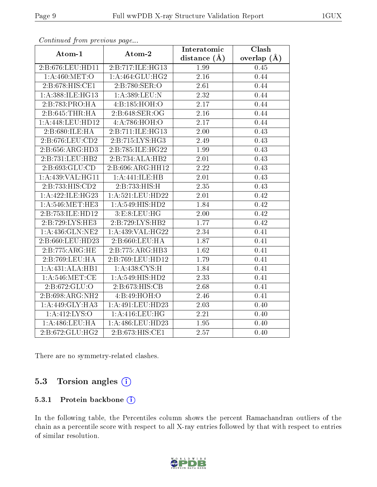| $\mathbf{v}$ $\mathbf{r}$ |                    | Interatomic       | Clash             |
|---------------------------|--------------------|-------------------|-------------------|
| Atom-1                    | Atom-2             | distance $(A)$    | overlap $(\AA)$   |
| $2: B:676:$ LEU:HD11      | 2:B:717:ILE:HG13   | 1.99              | 0.45              |
| 1: A:460:MET:O            | 1: A:464: GLU: HG2 | 2.16              | 0.44              |
| 2:B:678:HIS:CE1           | 2:B:780:SER:O      | 2.61              | 0.44              |
| 1: A:388: ILE: HG13       | 1:A:389:LEU:N      | 2.32              | 0.44              |
| 2:B:783:PRO:HA            | 4:B:185:HOH:O      | 2.17              | 0.44              |
| 2:B:645:THR:HA            | 2:B:648:SER:OG     | 2.16              | 0.44              |
| 1:A:448:LEU:HD12          | 4:A:786:HOH:O      | 2.17              | 0.44              |
| 2:B:680:ILE:HA            | 2:B:711:ILE:HG13   | 2.00              | 0.43              |
| 2:B:676:LEU:CD2           | 2:B:715:LYS:HG3    | 2.49              | 0.43              |
| 2:B:656:ARG:HD3           | 2:B:785:ILE:HG22   | 1.99              | 0.43              |
| 2:B:731:LEU:HB2           | 2:B:734:ALA:HB2    | 2.01              | 0.43              |
| 2:B:693:GLU:CD            | 2:B:696:ARG:HH12   | 2.22              | 0.43              |
| 1:A:439:VAL:HG11          | 1:A:441:ILE:HB     | 2.01              | 0.43              |
| 2:B:733:HIS:CD2           | 2:B:733:HIS:H      | 2.35              | 0.43              |
| 1:A:422:ILE:HG23          | 1:A:521:LEU:HD22   | 2.01              | 0.42              |
| 1: A:546:MET:HE3          | 1: A:549: HIS: HD2 | 1.84              | 0.42              |
| 2:B:753:ILE:HD12          | 3: E: 8: LEU: HG   | 2.00              | 0.42              |
| 2:B:729:LYS:HE3           | 2:B:729:LYS:HB2    | 1.77              | 0.42              |
| 1: A: 436: GLN: NE2       | 1: A:439: VAL:HG22 | 2.34              | 0.41              |
| 2:B:660:LEU:HD23          | 2:B:660:LEU:HA     | 1.87              | 0.41              |
| 2:B:775:ARG:HE            | 2:B:775:ARG:HB3    | $\overline{1.62}$ | $\overline{0.41}$ |
| 2:B:769:LEU:HA            | 2:B:769:LEU:HD12   | 1.79              | 0.41              |
| 1:A:431:ALA:HB1           | 1:A:438:CYS:H      | 1.84              | 0.41              |
| 1: A:546:MET:CE           | 1: A:549:HIS:HD2   | 2.33              | 0.41              |
| 2: B:672: GLU:O           | 2:B:673:HIS:CB     | 2.68              | 0.41              |
| 2:B:698:ARG:NH2           | 4:B:49:HOH:O       | 2.46              | 0.41              |
| 1:A:449:GLY:HA3           | 1: A:491:LEU:HD23  | $2.03\,$          | 0.40              |
| 1: A:412: LYS:O           | 1: A: 416: LEU: HG | 2.21              | 0.40              |
| 1:A:486:LEU:HA            | 1:A:486:LEU:HD23   | 1.95              | 0.40              |
| 2:B:672:GLU:HG2           | 2:B:673:HIS:CE1    | 2.57              | 0.40              |

Continued from previous page...

There are no symmetry-related clashes.

## 5.3 Torsion angles  $(i)$

#### 5.3.1 Protein backbone (i)

In the following table, the Percentiles column shows the percent Ramachandran outliers of the chain as a percentile score with respect to all X-ray entries followed by that with respect to entries of similar resolution.

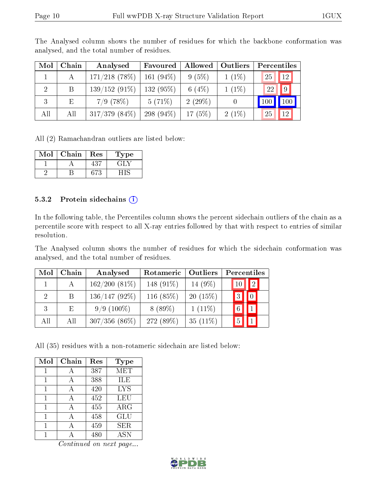| Mol            | Chain | Analysed           | Favoured     | Allowed   | <b>Outliers</b> | Percentiles                          |
|----------------|-------|--------------------|--------------|-----------|-----------------|--------------------------------------|
|                |       | $171/218$ (78%)    | 161 $(94\%)$ | 9(5%)     | $1(1\%)$        | 12 <br>125                           |
| $\overline{2}$ | B.    | $139/152(91\%)$    | 132 (95%)    | 6 $(4%)$  | $1(1\%)$        | $\boxed{9}$<br>22                    |
| 2              | E     | $7/9$ (78\%)       | $5(71\%)$    | $2(29\%)$ |                 | $ 100\rangle$<br>$\vert$ 100 $\vert$ |
| All            | All   | $317/379$ $(84\%)$ | 298 $(94\%)$ | 17 $(5%)$ | $2(1\%)$        | 12<br>25                             |

The Analysed column shows the number of residues for which the backbone conformation was analysed, and the total number of residues.

All (2) Ramachandran outliers are listed below:

| Mol | Chain | Res | L'ype |
|-----|-------|-----|-------|
|     |       |     |       |
|     |       | 673 |       |

#### 5.3.2 Protein sidechains (i)

In the following table, the Percentiles column shows the percent sidechain outliers of the chain as a percentile score with respect to all X-ray entries followed by that with respect to entries of similar resolution.

The Analysed column shows the number of residues for which the sidechain conformation was analysed, and the total number of residues.

| Mol           | Chain | Analysed        | Rotameric  | Outliers    | Percentiles |   |
|---------------|-------|-----------------|------------|-------------|-------------|---|
|               | А     | $162/200(81\%)$ | 148 (91\%) | 14 $(9\%)$  | $\vert$ 10  | 2 |
| $\mathcal{D}$ | B     | $136/147(92\%)$ | 116 (85%)  | $20(15\%)$  |             |   |
| 3             | E.    | $9/9(100\%)$    | $8(89\%)$  | $1(11\%)$   |             |   |
| All           | All   | $307/356(86\%)$ | 272 (89%)  | 35 $(11\%)$ |             |   |

All (35) residues with a non-rotameric sidechain are listed below:

| Mol | Chain | Res | <b>Type</b> |
|-----|-------|-----|-------------|
| 1   | А     | 387 | <b>MET</b>  |
| 1   | А     | 388 | ILE         |
| 1   | А     | 420 | <b>LYS</b>  |
| 1   |       | 452 | <b>LEU</b>  |
| 1   |       | 455 | $\rm{ARG}$  |
|     |       | 458 | GLU         |
|     |       | 459 | SER         |
|     |       | 480 | <b>ASN</b>  |

Continued on next page...

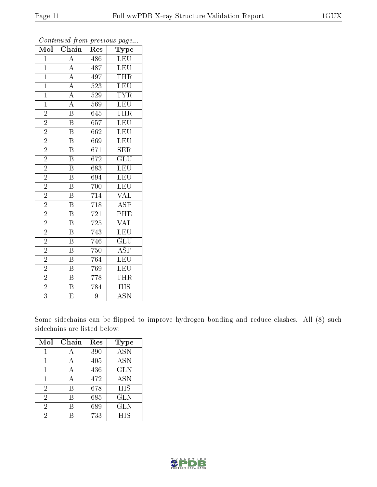| Mol            | $\overline{\text{Chain}}$           | Res              | Type                      |
|----------------|-------------------------------------|------------------|---------------------------|
| $\overline{1}$ | $\overline{\rm A}$                  | 486              | <b>LEU</b>                |
| $\overline{1}$ |                                     | 487              | <b>LEU</b>                |
| $\overline{1}$ | $\frac{\overline{A}}{\overline{A}}$ | 497              | <b>THR</b>                |
| $\overline{1}$ |                                     | 523              | LEU                       |
| $\overline{1}$ | $\frac{\overline{A}}{\overline{A}}$ | $\overline{529}$ | <b>TYR</b>                |
| $\mathbf{1}$   |                                     | 569              | LEU                       |
| $\overline{2}$ | $\overline{\mathbf{B}}$             | 645              | <b>THR</b>                |
| $\overline{2}$ | $\overline{\mathrm{B}}$             | 657              | $\overline{\text{LEU}}$   |
| $\overline{2}$ | $\overline{\mathbf{B}}$             | 662              | $\overline{\text{LEU}}$   |
| $\overline{2}$ | $\overline{\mathrm{B}}$             | 669              | $\overline{\text{LEU}}$   |
| $\overline{2}$ | $\overline{\mathrm{B}}$             | 671              | <b>SER</b>                |
| $\overline{2}$ | $\overline{\mathrm{B}}$             | $\overline{672}$ | $\overline{{\rm GLU}}$    |
| $\overline{2}$ | $\overline{\mathrm{B}}$             | 683              | $\overline{\text{LEU}}$   |
| $\overline{2}$ | $\overline{\text{B}}$               | 694              | LEU                       |
| $\overline{2}$ | $\overline{\mathrm{B}}$             | 700              | $\overline{\text{LEU}}$   |
| $\overline{c}$ | $\overline{\mathrm{B}}$             | 714              | <b>VAL</b>                |
| $\overline{2}$ | $\overline{\mathrm{B}}$             | $\overline{718}$ | $\overline{\text{ASP}}$   |
| $\overline{2}$ | $\overline{\mathbf{B}}$             | 721              | $\overline{\text{PHE}}$   |
| $\overline{2}$ | $\, {\bf B}$                        | 725              | $\overline{\text{VAL}}$   |
| $\overline{2}$ | $\overline{\mathbf{B}}$             | 743              | $\overline{\text{LEU}}$   |
| $\overline{2}$ | $\overline{\mathrm{B}}$             | 746              | $\overline{\text{GLU}}$   |
| $\overline{2}$ | $\overline{\mathrm{B}}$             | 750              | $\overline{\text{ASP}}$   |
| $\overline{2}$ | $\overline{\mathrm{B}}$             | 764              | $\overline{\text{LEU}}$   |
| $\overline{2}$ | $\overline{\mathrm{B}}$             | 769              | $\overline{\text{LEU}}$   |
| $\overline{2}$ | $\overline{\text{B}}$               | 778              | <b>THR</b>                |
| $\overline{2}$ | $\overline{\mathrm{B}}$             | 784              | <b>HIS</b>                |
| $\overline{3}$ | $\overline{\mathrm{E}}$             | 9                | $\overline{\mathrm{ASN}}$ |

Continued from previous page...

Some sidechains can be flipped to improve hydrogen bonding and reduce clashes. All (8) such sidechains are listed below:

| Mol            | Chain | Res | <b>Type</b> |
|----------------|-------|-----|-------------|
| 1              | А     | 390 | <b>ASN</b>  |
| 1              | А     | 405 | <b>ASN</b>  |
| 1              | А     | 436 | <b>GLN</b>  |
| 1              | А     | 472 | ASN         |
| $\overline{2}$ | R     | 678 | HIS         |
| $\overline{2}$ | R     | 685 | <b>GLN</b>  |
| $\overline{2}$ | В     | 689 | <b>GLN</b>  |
| 2              |       | 733 | <b>HIS</b>  |

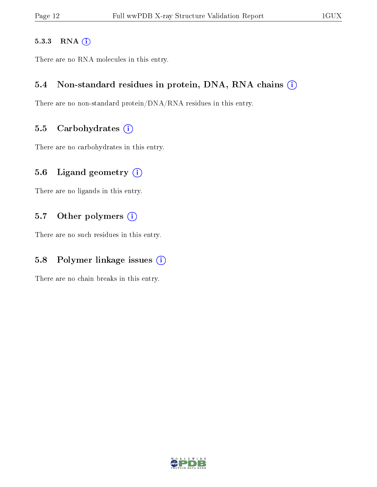#### 5.3.3 RNA [O](https://www.wwpdb.org/validation/2017/XrayValidationReportHelp#rna)i

There are no RNA molecules in this entry.

#### 5.4 Non-standard residues in protein, DNA, RNA chains (i)

There are no non-standard protein/DNA/RNA residues in this entry.

#### 5.5 Carbohydrates  $(i)$

There are no carbohydrates in this entry.

#### 5.6 Ligand geometry  $(i)$

There are no ligands in this entry.

#### 5.7 [O](https://www.wwpdb.org/validation/2017/XrayValidationReportHelp#nonstandard_residues_and_ligands)ther polymers (i)

There are no such residues in this entry.

### 5.8 Polymer linkage issues  $(i)$

There are no chain breaks in this entry.